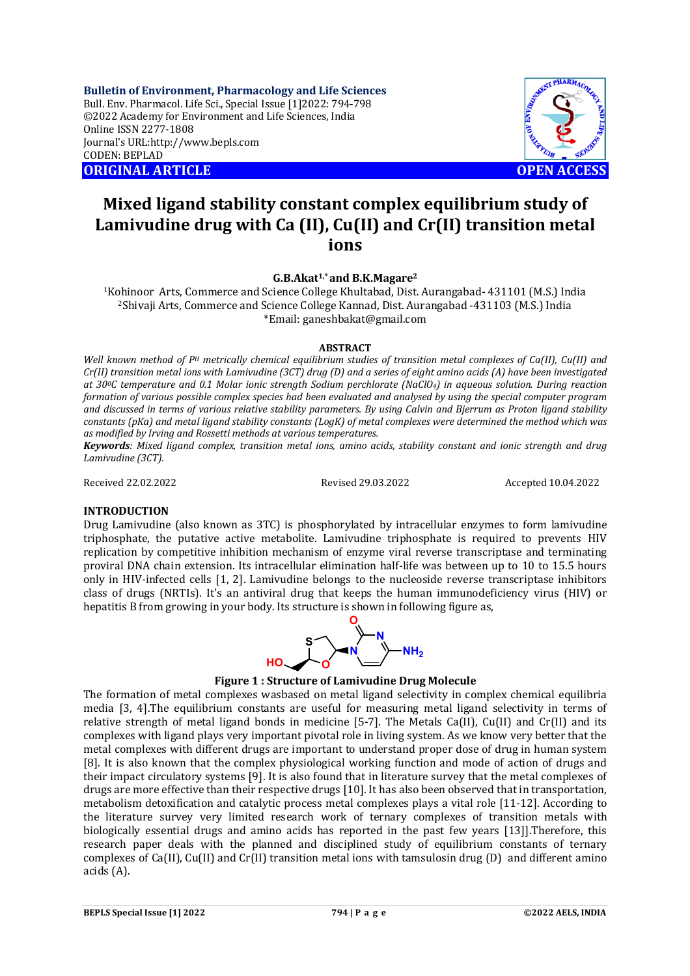**Bulletin of Environment, Pharmacology and Life Sciences** Bull. Env. Pharmacol. Life Sci., Special Issue [1]2022: 794-798 ©2022 Academy for Environment and Life Sciences, India Online ISSN 2277-1808 Journal's URL:<http://www.bepls.com> CODEN: BEPLAD **ORIGINAL ARTICLE OPEN ACCESS** 



# **Mixed ligand stability constant complex equilibrium study of Lamivudine drug with Ca (II), Cu(II) and Cr(II) transition metal ions**

**G.B.Akat1,\* and B.K.Magare<sup>2</sup>**

<sup>1</sup>Kohinoor Arts, Commerce and Science College Khultabad, Dist. Aurangabad- 431101 (M.S.) India <sup>2</sup>Shivaji Arts, Commerce and Science College Kannad, Dist. Aurangabad -431103 (M.S.) India \*Email: [ganeshbakat@gmail.com](mailto:ganeshbakat@gmail.com)

### **ABSTRACT**

*Well known method of P<sup>H</sup> metrically chemical equilibrium studies of transition metal complexes of Ca(II), Cu(II) and Cr(II) transition metal ions with Lamivudine (3CT) drug (D) and a series of eight amino acids (A) have been investigated at 300C temperature and 0.1 Molar ionic strength Sodium perchlorate (NaClO4) in aqueous solution. During reaction formation of various possible complex species had been evaluated and analysed by using the special computer program and discussed in terms of various relative stability parameters. By using Calvin and Bjerrum as Proton ligand stability constants (pKa) and metal ligand stability constants (LogK) of metal complexes were determined the method which was as modified by Irving and Rossetti methods at various temperatures.* 

*Keywords: Mixed ligand complex, transition metal ions, amino acids, stability constant and ionic strength and drug Lamivudine (3CT).*

Received 22.02.2022 Revised 29.03.2022 Accepted 10.04.2022

### **INTRODUCTION**

Drug Lamivudine (also known as 3TC) is phosphorylated by intracellular enzymes to form lamivudine triphosphate, the putative active metabolite. Lamivudine triphosphate is required to prevents HIV replication by competitive inhibition mechanism of enzyme viral reverse transcriptase and terminating proviral DNA chain extension. Its intracellular elimination half-life was between up to 10 to 15.5 hours only in HIV-infected cells [1, 2]. Lamivudine belongs to the nucleoside reverse transcriptase inhibitors class of drugs (NRTIs). It's an antiviral drug that keeps the human immunodeficiency virus (HIV) or hepatitis B from growing in your body. Its structure is shown in following figure as,



# **Figure 1 : Structure of Lamivudine Drug Molecule**

The formation of metal complexes wasbased on metal ligand selectivity in complex chemical equilibria media [3, 4].The equilibrium constants are useful for measuring metal ligand selectivity in terms of relative strength of metal ligand bonds in medicine [5-7]. The Metals Ca(II), Cu(II) and Cr(II) and its complexes with ligand plays very important pivotal role in living system. As we know very better that the metal complexes with different drugs are important to understand proper dose of drug in human system [8]. It is also known that the complex physiological working function and mode of action of drugs and their impact circulatory systems [9]. It is also found that in literature survey that the metal complexes of drugs are more effective than their respective drugs [10]. It has also been observed that in transportation, metabolism detoxification and catalytic process metal complexes plays a vital role [11-12]. According to the literature survey very limited research work of ternary complexes of transition metals with biologically essential drugs and amino acids has reported in the past few years [13]].Therefore, this research paper deals with the planned and disciplined study of equilibrium constants of ternary complexes of Ca(II), Cu(II) and Cr(II) transition metal ions with tamsulosin drug (D) and different amino acids (A).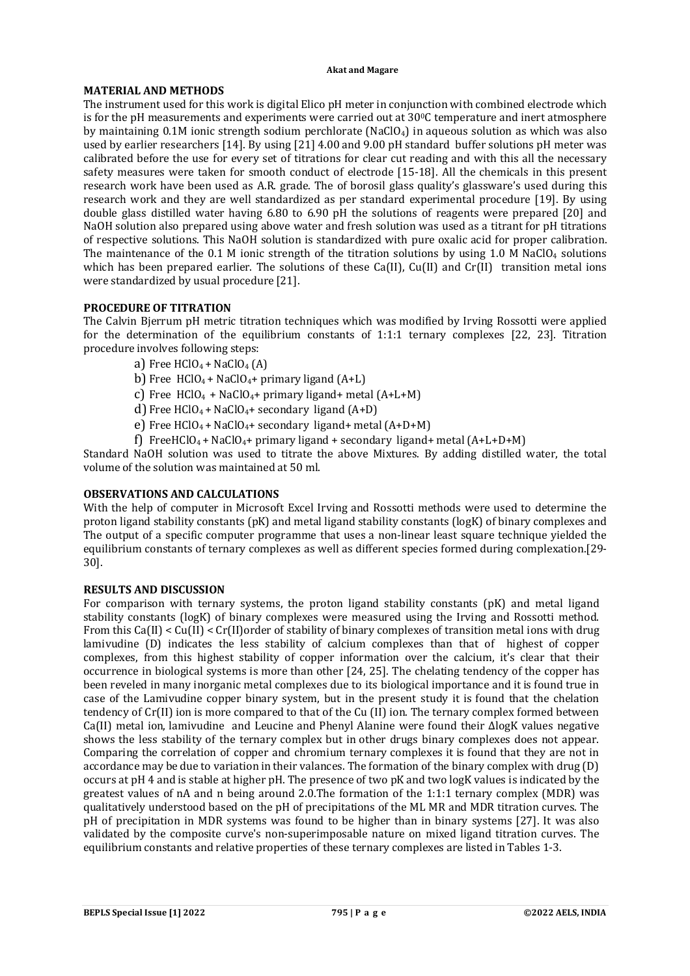# **MATERIAL AND METHODS**

The instrument used for this work is digital Elico pH meter in conjunction with combined electrode which is for the pH measurements and experiments were carried out at  $30^{\circ}$ C temperature and inert atmosphere by maintaining 0.1M ionic strength sodium perchlorate (NaClO4) in aqueous solution as which was also used by earlier researchers [14]. By using [21] 4.00 and 9.00 pH standard buffer solutions pH meter was calibrated before the use for every set of titrations for clear cut reading and with this all the necessary safety measures were taken for smooth conduct of electrode [15-18]. All the chemicals in this present research work have been used as A.R. grade. The of borosil glass quality's glassware's used during this research work and they are well standardized as per standard experimental procedure [19]. By using double glass distilled water having 6.80 to 6.90 pH the solutions of reagents were prepared [20] and NaOH solution also prepared using above water and fresh solution was used as a titrant for pH titrations of respective solutions. This NaOH solution is standardized with pure oxalic acid for proper calibration. The maintenance of the 0.1 M ionic strength of the titration solutions by using 1.0 M NaClO<sub>4</sub> solutions which has been prepared earlier. The solutions of these Ca(II), Cu(II) and Cr(II) transition metal ions were standardized by usual procedure [21].

# **PROCEDURE OF TITRATION**

The Calvin Bjerrum pH metric titration techniques which was modified by Irving Rossotti were applied for the determination of the equilibrium constants of 1:1:1 ternary complexes [22, 23]. Titration procedure involves following steps:

- a) Free  $HClO<sub>4</sub> + NaClO<sub>4</sub> (A)$
- b) Free  $HClO_4 + NaClO_4 + primary$  ligand  $(A+L)$
- c) Free  $HClO<sub>4</sub> + NaClO<sub>4</sub> + primary ligand+ metal (A+L+M)$
- d) Free HClO<sub>4</sub> + NaClO<sub>4</sub> + secondary ligand  $(A+D)$
- e) Free  $HClO_4$  + NaClO<sub>4</sub> + secondary ligand + metal  $(A+D+M)$
- f) FreeHClO<sub>4</sub> + NaClO<sub>4</sub> + primary ligand + secondary ligand + metal  $(A+L+D+M)$

Standard NaOH solution was used to titrate the above Mixtures. By adding distilled water, the total volume of the solution was maintained at 50 ml.

# **OBSERVATIONS AND CALCULATIONS**

With the help of computer in Microsoft Excel Irving and Rossotti methods were used to determine the proton ligand stability constants (pK) and metal ligand stability constants (logK) of binary complexes and The output of a specific computer programme that uses a non-linear least square technique yielded the equilibrium constants of ternary complexes as well as different species formed during complexation.[29- 30].

# **RESULTS AND DISCUSSION**

For comparison with ternary systems, the proton ligand stability constants (pK) and metal ligand stability constants (logK) of binary complexes were measured using the Irving and Rossotti method. From this Ca(II) < Cu(II) < Cr(II)order of stability of binary complexes of transition metal ions with drug lamivudine (D) indicates the less stability of calcium complexes than that of highest of copper complexes, from this highest stability of copper information over the calcium, it's clear that their occurrence in biological systems is more than other [24, 25]. The chelating tendency of the copper has been reveled in many inorganic metal complexes due to its biological importance and it is found true in case of the Lamivudine copper binary system, but in the present study it is found that the chelation tendency of Cr(II) ion is more compared to that of the Cu (II) ion. The ternary complex formed between Ca(II) metal ion, lamivudine and Leucine and Phenyl Alanine were found their ΔlogK values negative shows the less stability of the ternary complex but in other drugs binary complexes does not appear. Comparing the correlation of copper and chromium ternary complexes it is found that they are not in accordance may be due to variation in their valances. The formation of the binary complex with drug (D) occurs at pH 4 and is stable at higher pH. The presence of two pK and two logK values is indicated by the greatest values of nA and n being around 2.0.The formation of the 1:1:1 ternary complex (MDR) was qualitatively understood based on the pH of precipitations of the ML MR and MDR titration curves. The pH of precipitation in MDR systems was found to be higher than in binary systems [27]. It was also validated by the composite curve's non-superimposable nature on mixed ligand titration curves. The equilibrium constants and relative properties of these ternary complexes are listed in Tables 1-3.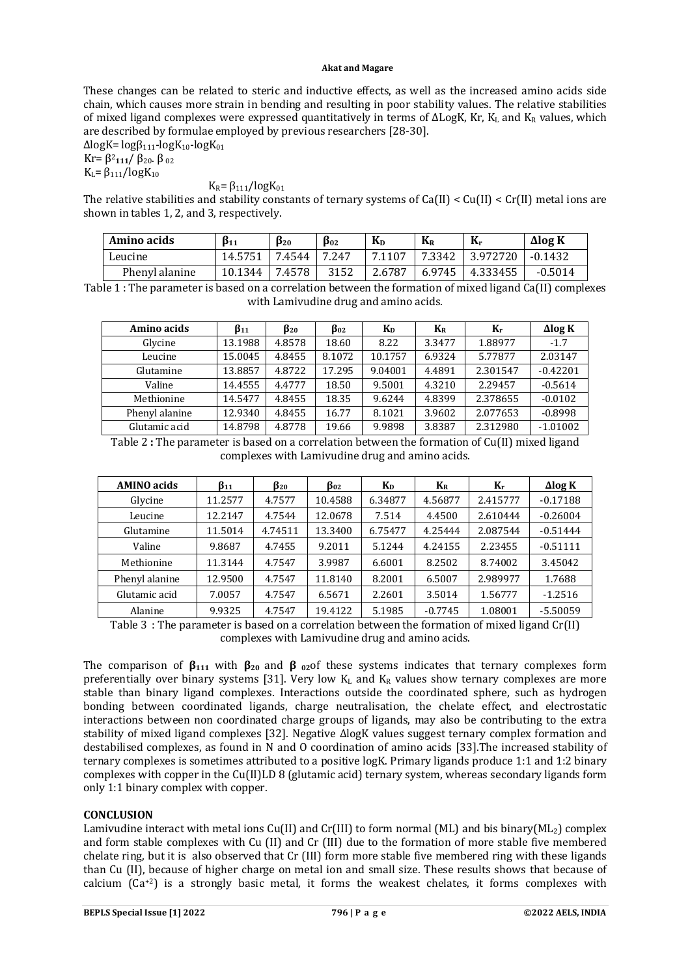These changes can be related to steric and inductive effects, as well as the increased amino acids side chain, which causes more strain in bending and resulting in poor stability values. The relative stabilities of mixed ligand complexes were expressed quantitatively in terms of ∆LogK, Kr, K<sub>L</sub> and K<sub>R</sub> values, which are described by formulae employed by previous researchers [28-30].

 $ΔlogK = logβ<sub>111</sub>-logK<sub>10</sub>-logK<sub>01</sub>$ Kr= β<sup>2</sup> **<sup>111</sup>**/ β20. β <sup>02</sup>

 $K<sub>L</sub> = \beta_{111}/log K_{10}$ 

 $K_R = \beta_{111}/log K_{01}$ 

The relative stabilities and stability constants of ternary systems of Ca(II) < Cu(II) < Cr(II) metal ions are shown in tables 1, 2, and 3, respectively.

| Amino acids    | $\beta_{11}$ | $\beta_{20}$ | $\beta_{02}$ | $K_D$  | $\rm K_R$ | $K_r$    | $\Delta$ log K |
|----------------|--------------|--------------|--------------|--------|-----------|----------|----------------|
| Leucine        | 14.5751      | 7.4544       | 7.247        | 7.1107 | 7.3342    | 3.972720 | $-0.1432$      |
| Phenyl alanine | 10.1344      | 7.4578       | 3152         | 2.6787 | 6.9745    | 4.333455 | $-0.5014$      |

Table 1 : The parameter is based on a correlation between the formation of mixed ligand Ca(II) complexes with Lamivudine drug and amino acids.

| Amino acids    | $\beta_{11}$ | $\beta_{20}$ | $\beta_{02}$ | K <sub>D</sub> | $K_{R}$ | $K_r$    | $\Delta$ log K |
|----------------|--------------|--------------|--------------|----------------|---------|----------|----------------|
| Glycine        | 13.1988      | 4.8578       | 18.60        | 8.22           | 3.3477  | 1.88977  | $-1.7$         |
| Leucine        | 15.0045      | 4.8455       | 8.1072       | 10.1757        | 6.9324  | 5.77877  | 2.03147        |
| Glutamine      | 13.8857      | 4.8722       | 17.295       | 9.04001        | 4.4891  | 2.301547 | $-0.42201$     |
| Valine         | 14.4555      | 4.4777       | 18.50        | 9.5001         | 4.3210  | 2.29457  | $-0.5614$      |
| Methionine     | 14.5477      | 4.8455       | 18.35        | 9.6244         | 4.8399  | 2.378655 | $-0.0102$      |
| Phenyl alanine | 12.9340      | 4.8455       | 16.77        | 8.1021         | 3.9602  | 2.077653 | $-0.8998$      |
| Glutamic acid  | 14.8798      | 4.8778       | 19.66        | 9.9898         | 3.8387  | 2.312980 | $-1.01002$     |

Table 2 **:** The parameter is based on a correlation between the formation of Cu(II) mixed ligand complexes with Lamivudine drug and amino acids.

| <b>AMINO</b> acids | $\beta_{11}$ | $\beta_{20}$ | Во2     | K <sub>D</sub> | $K_{R}$   | Kr       | $\Delta$ log K |
|--------------------|--------------|--------------|---------|----------------|-----------|----------|----------------|
| Glycine            | 11.2577      | 4.7577       | 10.4588 | 6.34877        | 4.56877   | 2.415777 | $-0.17188$     |
| Leucine            | 12.2147      | 4.7544       | 12.0678 | 7.514          | 4.4500    | 2.610444 | $-0.26004$     |
| Glutamine          | 11.5014      | 4.74511      | 13.3400 | 6.75477        | 4.25444   | 2.087544 | $-0.51444$     |
| Valine             | 9.8687       | 4.7455       | 9.2011  | 5.1244         | 4.24155   | 2.23455  | $-0.51111$     |
| Methionine         | 11.3144      | 4.7547       | 3.9987  | 6.6001         | 8.2502    | 8.74002  | 3.45042        |
| Phenyl alanine     | 12.9500      | 4.7547       | 11.8140 | 8.2001         | 6.5007    | 2.989977 | 1.7688         |
| Glutamic acid      | 7.0057       | 4.7547       | 6.5671  | 2.2601         | 3.5014    | 1.56777  | $-1.2516$      |
| Alanine            | 9.9325       | 4.7547       | 19.4122 | 5.1985         | $-0.7745$ | 1.08001  | $-5.50059$     |

Table 3 : The parameter is based on a correlation between the formation of mixed ligand Cr(II) complexes with Lamivudine drug and amino acids.

The comparison of  $\beta_{111}$  with  $\beta_{20}$  and  $\beta_{02}$  of these systems indicates that ternary complexes form preferentially over binary systems [31]. Very low  $K<sub>L</sub>$  and  $K<sub>R</sub>$  values show ternary complexes are more stable than binary ligand complexes. Interactions outside the coordinated sphere, such as hydrogen bonding between coordinated ligands, charge neutralisation, the chelate effect, and electrostatic interactions between non coordinated charge groups of ligands, may also be contributing to the extra stability of mixed ligand complexes [32]. Negative ∆logK values suggest ternary complex formation and destabilised complexes, as found in N and O coordination of amino acids [33].The increased stability of ternary complexes is sometimes attributed to a positive logK. Primary ligands produce 1:1 and 1:2 binary complexes with copper in the Cu(II)LD 8 (glutamic acid) ternary system, whereas secondary ligands form only 1:1 binary complex with copper.

### **CONCLUSION**

Lamivudine interact with metal ions Cu(II) and Cr(III) to form normal (ML) and bis binary(ML<sub>2</sub>) complex and form stable complexes with Cu (II) and Cr (III) due to the formation of more stable five membered chelate ring, but it is also observed that Cr (III) form more stable five membered ring with these ligands than Cu (II), because of higher charge on metal ion and small size. These results shows that because of calcium  $(Ca^{+2})$  is a strongly basic metal, it forms the weakest chelates, it forms complexes with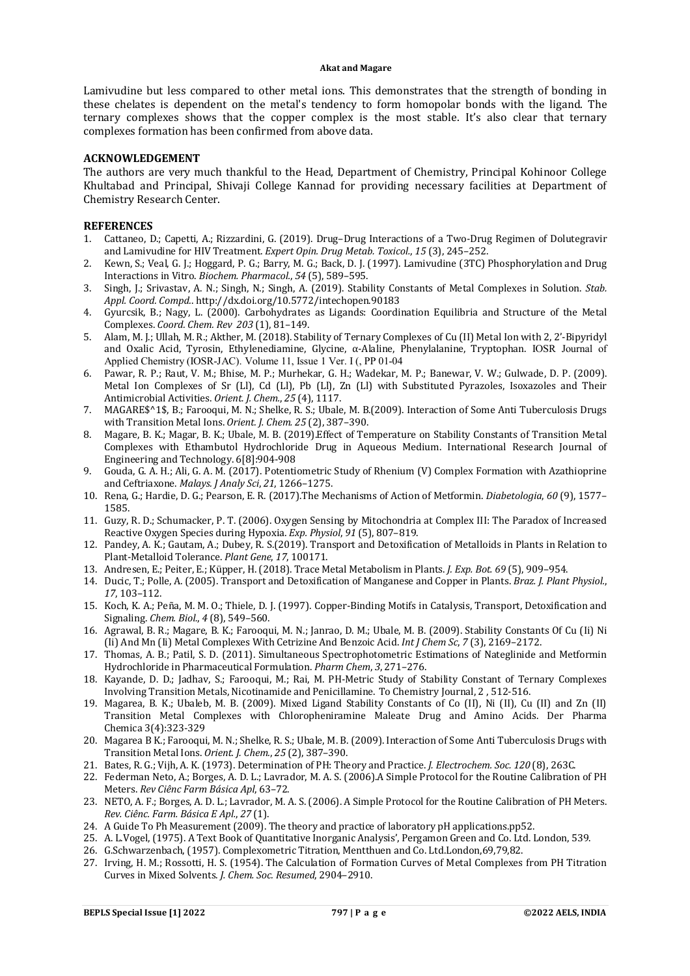Lamivudine but less compared to other metal ions. This demonstrates that the strength of bonding in these chelates is dependent on the metal's tendency to form homopolar bonds with the ligand. The ternary complexes shows that the copper complex is the most stable. It's also clear that ternary complexes formation has been confirmed from above data.

### **ACKNOWLEDGEMENT**

The authors are very much thankful to the Head, Department of Chemistry, Principal Kohinoor College Khultabad and Principal, Shivaji College Kannad for providing necessary facilities at Department of Chemistry Research Center.

### **REFERENCES**

- 1. Cattaneo, D.; Capetti, A.; Rizzardini, G. (2019). Drug–Drug Interactions of a Two-Drug Regimen of Dolutegravir and Lamivudine for HIV Treatment. *Expert Opin. Drug Metab. Toxicol.*, *15* (3), 245–252.
- 2. Kewn, S.; Veal, G. J.; Hoggard, P. G.; Barry, M. G.; Back, D. J. (1997). Lamivudine (3TC) Phosphorylation and Drug Interactions in Vitro. *Biochem. Pharmacol.*, *54* (5), 589–595.
- 3. Singh, J.; Srivastav, A. N.; Singh, N.; Singh, A. (2019). Stability Constants of Metal Complexes in Solution. *Stab. Appl. Coord. Compd.*. <http://dx.doi.org/10.5772/intechopen.90183>
- 4. Gyurcsik, B.; Nagy, L. (2000). Carbohydrates as Ligands: Coordination Equilibria and Structure of the Metal Complexes. *Coord. Chem. Rev 203* (1), 81–149.
- 5. Alam, M. J.; Ullah, M. R.; Akther, M. (2018). Stability of Ternary Complexes of Cu (II) Metal Ion with 2, 2'-Bipyridyl and Oxalic Acid, Tyrosin, Ethylenediamine, Glycine, α-Alaline, Phenylalanine, Tryptophan. IOSR Journal of Applied Chemistry (IOSR-JAC). Volume 11, Issue 1 Ver. I (, PP 01-04
- 6. Pawar, R. P.; Raut, V. M.; Bhise, M. P.; Murhekar, G. H.; Wadekar, M. P.; Banewar, V. W.; Gulwade, D. P. (2009). Metal Ion Complexes of Sr (Ll), Cd (Ll), Pb (Ll), Zn (Ll) with Substituted Pyrazoles, Isoxazoles and Their Antimicrobial Activities. *Orient. J. Chem.*, *25* (4), 1117.
- 7. MAGARE\$^1\$, B.; Farooqui, M. N.; Shelke, R. S.; Ubale, M. B.(2009). Interaction of Some Anti Tuberculosis Drugs with Transition Metal Ions. *Orient. J. Chem. 25* (2), 387–390.
- 8. Magare, B. K.; Magar, B. K.; Ubale, M. B. (2019).Effect of Temperature on Stability Constants of Transition Metal Complexes with Ethambutol Hydrochloride Drug in Aqueous Medium. International Research Journal of Engineering and Technology. 6[8]:904-908
- 9. Gouda, G. A. H.; Ali, G. A. M. (2017). Potentiometric Study of Rhenium (V) Complex Formation with Azathioprine and Ceftriaxone. *Malays. J Analy Sci*, *21*, 1266–1275.
- 10. Rena, G.; Hardie, D. G.; Pearson, E. R. (2017).The Mechanisms of Action of Metformin. *Diabetologia*, *60* (9), 1577– 1585.
- 11. Guzy, R. D.; Schumacker, P. T. (2006). Oxygen Sensing by Mitochondria at Complex III: The Paradox of Increased Reactive Oxygen Species during Hypoxia. *Exp. Physiol*, *91* (5), 807–819.
- 12. Pandey, A. K.; Gautam, A.; Dubey, R. S.(2019). Transport and Detoxification of Metalloids in Plants in Relation to Plant-Metalloid Tolerance. *Plant Gene*, *17*, 100171.
- 13. Andresen, E.; Peiter, E.; Küpper, H. (2018). Trace Metal Metabolism in Plants. *J. Exp. Bot. 69* (5), 909–954.
- 14. Ducic, T.; Polle, A. (2005). Transport and Detoxification of Manganese and Copper in Plants. *Braz. J. Plant Physiol.*, *17*, 103–112.
- 15. Koch, K. A.; Peña, M. M. O.; Thiele, D. J. (1997). Copper-Binding Motifs in Catalysis, Transport, Detoxification and Signaling. *Chem. Biol.*, *4* (8), 549–560.
- 16. Agrawal, B. R.; Magare, B. K.; Farooqui, M. N.; Janrao, D. M.; Ubale, M. B. (2009). Stability Constants Of Cu (Ii) Ni (Ii) And Mn (Ii) Metal Complexes With Cetrizine And Benzoic Acid. *Int J Chem Sc*, *7* (3), 2169–2172.
- 17. Thomas, A. B.; Patil, S. D. (2011). Simultaneous Spectrophotometric Estimations of Nateglinide and Metformin Hydrochloride in Pharmaceutical Formulation. *Pharm Chem*, *3*, 271–276.
- 18. Kayande, D. D.; Jadhav, S.; Farooqui, M.; Rai, M. PH-Metric Study of Stability Constant of Ternary Complexes Involving Transition Metals, Nicotinamide and Penicillamine. To Chemistry Journal, 2 , 512-516.
- 19. Magarea, B. K.; Ubaleb, M. B. (2009). Mixed Ligand Stability Constants of Co (II), Ni (II), Cu (II) and Zn (II) Transition Metal Complexes with Chloropheniramine Maleate Drug and Amino Acids. Der Pharma Chemica 3(4):323-329
- 20. Magarea B K.; Farooqui, M. N.; Shelke, R. S.; Ubale, M. B. (2009). Interaction of Some Anti Tuberculosis Drugs with Transition Metal Ions. *Orient. J. Chem.*, *25* (2), 387–390.
- 21. Bates, R. G.; Vijh, A. K. (1973). Determination of PH: Theory and Practice. *J. Electrochem. Soc. 120* (8), 263C.
- 22. Federman Neto, A.; Borges, A. D. L.; Lavrador, M. A. S. (2006).A Simple Protocol for the Routine Calibration of PH Meters. *Rev Ciênc Farm Básica Apl*, 63–72.
- 23. NETO, A. F.; Borges, A. D. L.; Lavrador, M. A. S. (2006). A Simple Protocol for the Routine Calibration of PH Meters. *Rev. Ciênc. Farm. Básica E Apl.*, *27* (1).
- 24. A Guide To Ph Measurement (2009). The theory and practice of laboratory pH applications.pp52.
- 25. A. L.Vogel, (1975). A Text Book of Quantitative Inorganic Analysis', Pergamon Green and Co. Ltd. London, 539.
- 26. G.Schwarzenbach, (1957). Complexometric Titration, Mentthuen and Co. Ltd.London,69,79,82.
- 27. Irving, H. M.; Rossotti, H. S. (1954). The Calculation of Formation Curves of Metal Complexes from PH Titration Curves in Mixed Solvents. *J. Chem. Soc. Resumed*, 2904–2910.